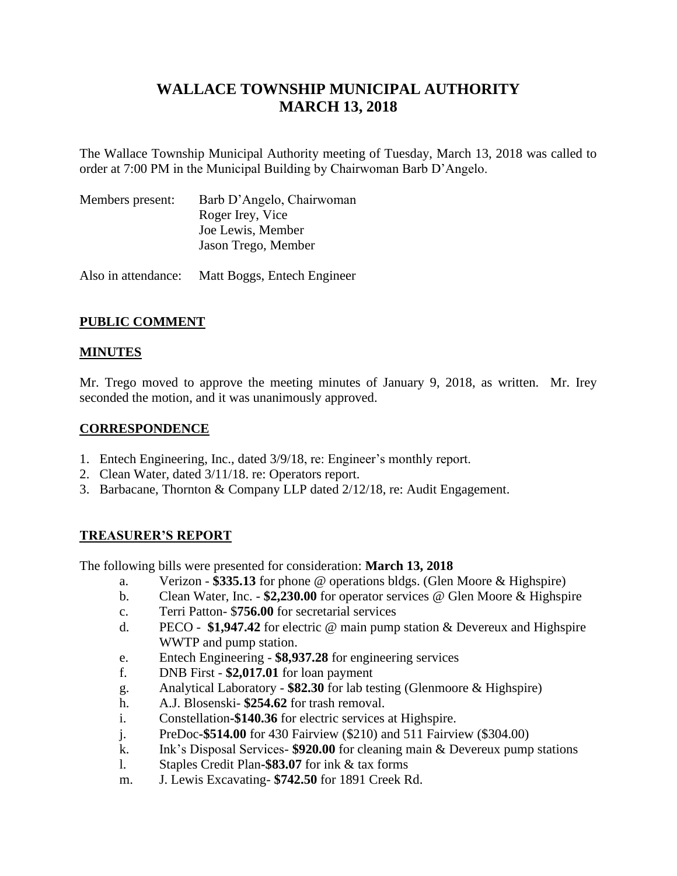# **WALLACE TOWNSHIP MUNICIPAL AUTHORITY MARCH 13, 2018**

The Wallace Township Municipal Authority meeting of Tuesday, March 13, 2018 was called to order at 7:00 PM in the Municipal Building by Chairwoman Barb D'Angelo.

| Members present: | Barb D'Angelo, Chairwoman |
|------------------|---------------------------|
|                  | Roger Irey, Vice          |
|                  | Joe Lewis, Member         |
|                  | Jason Trego, Member       |
|                  |                           |

Also in attendance: Matt Boggs, Entech Engineer

## **PUBLIC COMMENT**

## **MINUTES**

Mr. Trego moved to approve the meeting minutes of January 9, 2018, as written. Mr. Irey seconded the motion, and it was unanimously approved.

## **CORRESPONDENCE**

- 1. Entech Engineering, Inc., dated 3/9/18, re: Engineer's monthly report.
- 2. Clean Water, dated 3/11/18. re: Operators report.
- 3. Barbacane, Thornton & Company LLP dated 2/12/18, re: Audit Engagement.

## **TREASURER'S REPORT**

The following bills were presented for consideration: **March 13, 2018**

- a. Verizon **\$335.13** for phone @ operations bldgs. (Glen Moore & Highspire)
- b. Clean Water, Inc. **\$2,230.00** for operator services @ Glen Moore & Highspire
- c. Terri Patton- \$**756.00** for secretarial services
- d. PECO **\$1,947.42** for electric @ main pump station & Devereux and Highspire WWTP and pump station.
- e. Entech Engineering **\$8,937.28** for engineering services
- f. DNB First **\$2,017.01** for loan payment
- g. Analytical Laboratory **\$82.30** for lab testing (Glenmoore & Highspire)
- h. A.J. Blosenski- **\$254.62** for trash removal.
- i. Constellation**-\$140.36** for electric services at Highspire.
- j. PreDoc**-\$514.00** for 430 Fairview (\$210) and 511 Fairview (\$304.00)
- k. Ink's Disposal Services- **\$920.00** for cleaning main & Devereux pump stations
- l. Staples Credit Plan**-\$83.07** for ink & tax forms
- m. J. Lewis Excavating- **\$742.50** for 1891 Creek Rd.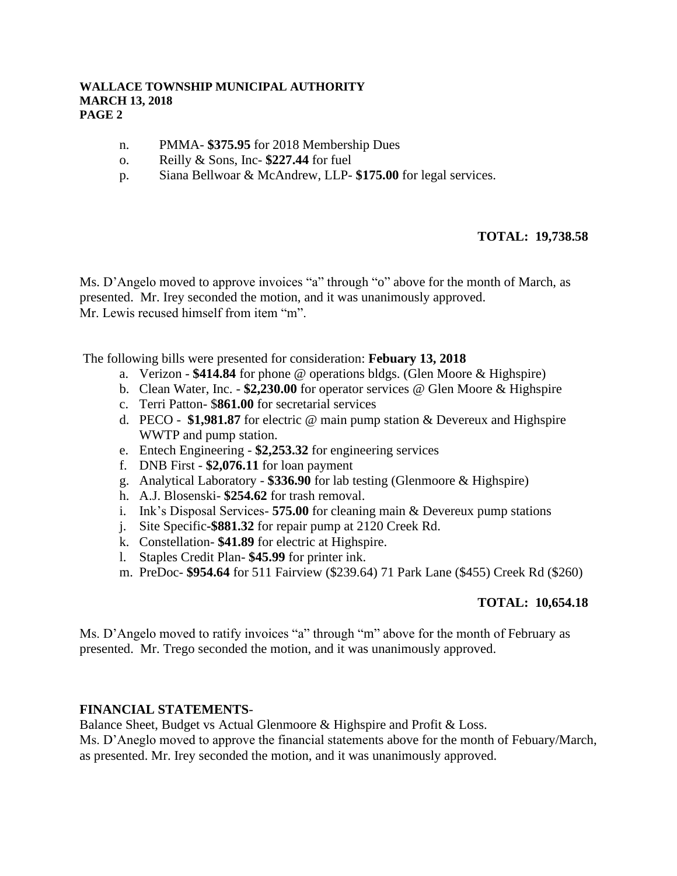#### **WALLACE TOWNSHIP MUNICIPAL AUTHORITY MARCH 13, 2018 PAGE 2**

- n. PMMA- **\$375.95** for 2018 Membership Dues
- o. Reilly & Sons, Inc- **\$227.44** for fuel
- p. Siana Bellwoar & McAndrew, LLP- **\$175.00** for legal services.

#### **TOTAL: 19,738.58**

Ms. D'Angelo moved to approve invoices "a" through "o" above for the month of March, as presented. Mr. Irey seconded the motion, and it was unanimously approved. Mr. Lewis recused himself from item "m".

The following bills were presented for consideration: **Febuary 13, 2018**

- a. Verizon **\$414.84** for phone @ operations bldgs. (Glen Moore & Highspire)
- b. Clean Water, Inc. **\$2,230.00** for operator services @ Glen Moore & Highspire
- c. Terri Patton- \$**861.00** for secretarial services
- d. PECO - **\$1,981.87** for electric @ main pump station & Devereux and Highspire WWTP and pump station.
- e. Entech Engineering **\$2,253.32** for engineering services
- f. DNB First **\$2,076.11** for loan payment
- g. Analytical Laboratory **\$336.90** for lab testing (Glenmoore & Highspire)
- h. A.J. Blosenski- **\$254.62** for trash removal.
- i. Ink's Disposal Services- **575.00** for cleaning main & Devereux pump stations
- j. Site Specific**-\$881.32** for repair pump at 2120 Creek Rd.
- k. Constellation- **\$41.89** for electric at Highspire.
- l. Staples Credit Plan- **\$45.99** for printer ink.
- m. PreDoc- **\$954.64** for 511 Fairview (\$239.64) 71 Park Lane (\$455) Creek Rd (\$260)

#### **TOTAL: 10,654.18**

Ms. D'Angelo moved to ratify invoices "a" through "m" above for the month of February as presented. Mr. Trego seconded the motion, and it was unanimously approved.

#### **FINANCIAL STATEMENTS**-

Balance Sheet, Budget vs Actual Glenmoore & Highspire and Profit & Loss.

Ms. D'Aneglo moved to approve the financial statements above for the month of Febuary/March, as presented. Mr. Irey seconded the motion, and it was unanimously approved.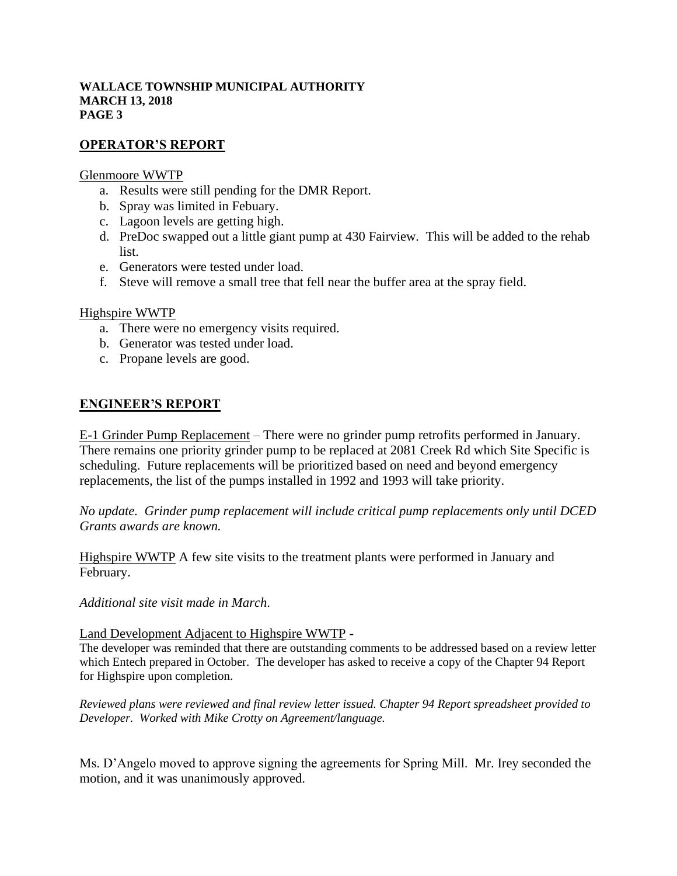#### **WALLACE TOWNSHIP MUNICIPAL AUTHORITY MARCH 13, 2018 PAGE 3**

### **OPERATOR'S REPORT**

#### Glenmoore WWTP

- a. Results were still pending for the DMR Report.
- b. Spray was limited in Febuary.
- c. Lagoon levels are getting high.
- d. PreDoc swapped out a little giant pump at 430 Fairview. This will be added to the rehab list.
- e. Generators were tested under load.
- f. Steve will remove a small tree that fell near the buffer area at the spray field.

#### Highspire WWTP

- a. There were no emergency visits required.
- b. Generator was tested under load.
- c. Propane levels are good.

### **ENGINEER'S REPORT**

E-1 Grinder Pump Replacement – There were no grinder pump retrofits performed in January. There remains one priority grinder pump to be replaced at 2081 Creek Rd which Site Specific is scheduling. Future replacements will be prioritized based on need and beyond emergency replacements, the list of the pumps installed in 1992 and 1993 will take priority.

*No update. Grinder pump replacement will include critical pump replacements only until DCED Grants awards are known.*

Highspire WWTP A few site visits to the treatment plants were performed in January and February.

*Additional site visit made in March*.

#### Land Development Adjacent to Highspire WWTP -

The developer was reminded that there are outstanding comments to be addressed based on a review letter which Entech prepared in October. The developer has asked to receive a copy of the Chapter 94 Report for Highspire upon completion.

*Reviewed plans were reviewed and final review letter issued. Chapter 94 Report spreadsheet provided to Developer. Worked with Mike Crotty on Agreement/language.*

Ms. D'Angelo moved to approve signing the agreements for Spring Mill. Mr. Irey seconded the motion, and it was unanimously approved.